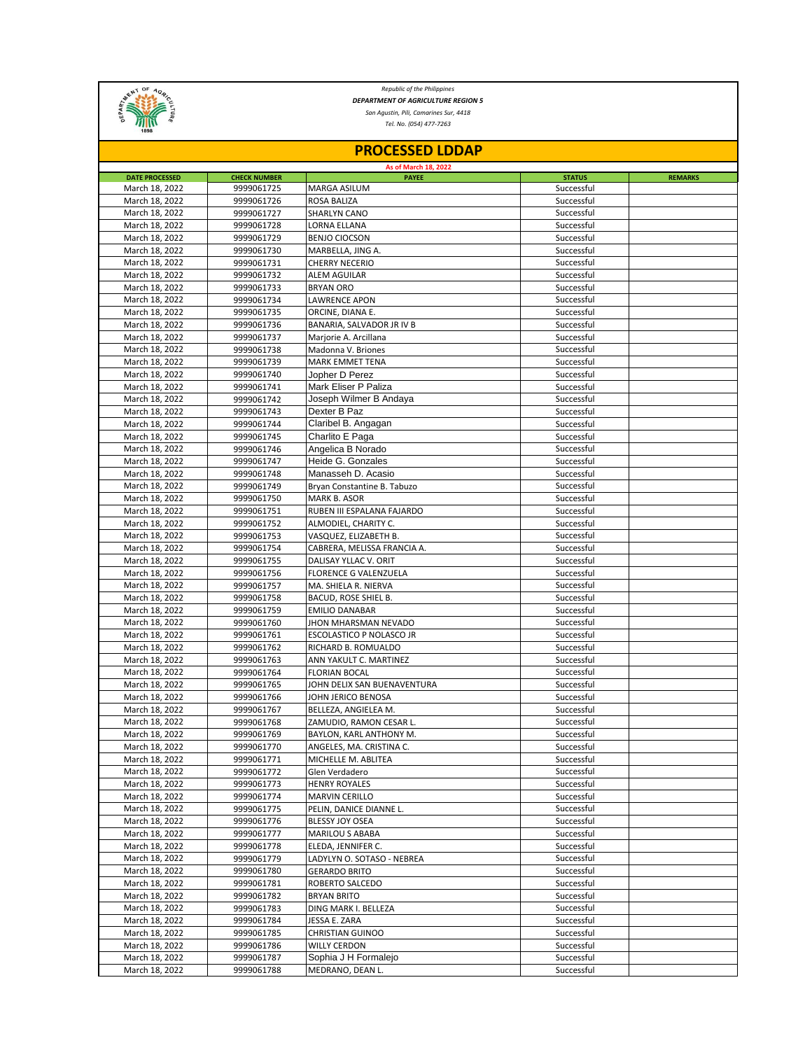

*Republic of the Philippines DEPARTMENT OF AGRICULTURE REGION 5*

*San Agustin, Pili, Camarines Sur, 4418*

*Tel. No. (054) 477-7263*

| <b>PROCESSED LDDAP</b><br>As of March 18, 2022 |                          |                                       |                          |  |  |  |  |
|------------------------------------------------|--------------------------|---------------------------------------|--------------------------|--|--|--|--|
|                                                |                          |                                       |                          |  |  |  |  |
| March 18, 2022                                 | 9999061725               | <b>MARGA ASILUM</b>                   | Successful               |  |  |  |  |
| March 18, 2022                                 | 9999061726               | ROSA BALIZA                           | Successful               |  |  |  |  |
| March 18, 2022                                 | 9999061727               | <b>SHARLYN CANO</b>                   | Successful               |  |  |  |  |
| March 18, 2022                                 | 9999061728               | LORNA ELLANA                          | Successful               |  |  |  |  |
| March 18, 2022                                 | 9999061729               | <b>BENJO CIOCSON</b>                  | Successful               |  |  |  |  |
| March 18, 2022                                 | 9999061730               | MARBELLA, JING A.                     | Successful               |  |  |  |  |
| March 18, 2022                                 | 9999061731               | <b>CHERRY NECERIO</b>                 | Successful               |  |  |  |  |
| March 18, 2022                                 | 9999061732               | <b>ALEM AGUILAR</b>                   | Successful               |  |  |  |  |
| March 18, 2022                                 | 9999061733<br>9999061734 | <b>BRYAN ORO</b>                      | Successful               |  |  |  |  |
| March 18, 2022<br>March 18, 2022               | 9999061735               | LAWRENCE APON<br>ORCINE, DIANA E.     | Successful<br>Successful |  |  |  |  |
| March 18, 2022                                 | 9999061736               | BANARIA, SALVADOR JR IV B             | Successful               |  |  |  |  |
| March 18, 2022                                 | 9999061737               | Marjorie A. Arcillana                 | Successful               |  |  |  |  |
| March 18, 2022                                 | 9999061738               | Madonna V. Briones                    | Successful               |  |  |  |  |
| March 18, 2022                                 | 9999061739               | MARK EMMET TENA                       | Successful               |  |  |  |  |
| March 18, 2022                                 | 9999061740               | Jopher D Perez                        | Successful               |  |  |  |  |
| March 18, 2022                                 | 9999061741               | Mark Eliser P Paliza                  | Successful               |  |  |  |  |
| March 18, 2022                                 | 9999061742               | Joseph Wilmer B Andaya                | Successful               |  |  |  |  |
| March 18, 2022                                 | 9999061743               | Dexter B Paz                          | Successful               |  |  |  |  |
| March 18, 2022                                 | 9999061744               | Claribel B. Angagan                   | Successful               |  |  |  |  |
| March 18, 2022                                 | 9999061745               | Charlito E Paga                       | Successful               |  |  |  |  |
| March 18, 2022                                 | 9999061746               | Angelica B Norado                     | Successful               |  |  |  |  |
| March 18, 2022                                 | 9999061747               | Heide G. Gonzales                     | Successful               |  |  |  |  |
| March 18, 2022                                 | 9999061748               | Manasseh D. Acasio                    | Successful               |  |  |  |  |
| March 18, 2022                                 | 9999061749               | Bryan Constantine B. Tabuzo           | Successful               |  |  |  |  |
| March 18, 2022                                 | 9999061750               | MARK B. ASOR                          | Successful               |  |  |  |  |
| March 18, 2022                                 | 9999061751               | RUBEN III ESPALANA FAJARDO            | Successful               |  |  |  |  |
| March 18, 2022                                 | 9999061752               | ALMODIEL, CHARITY C.                  | Successful               |  |  |  |  |
| March 18, 2022                                 | 9999061753               | VASQUEZ, ELIZABETH B.                 | Successful               |  |  |  |  |
| March 18, 2022                                 | 9999061754               | CABRERA, MELISSA FRANCIA A.           | Successful               |  |  |  |  |
| March 18, 2022                                 | 9999061755               | DALISAY YLLAC V. ORIT                 | Successful               |  |  |  |  |
| March 18, 2022                                 | 9999061756               | <b>FLORENCE G VALENZUELA</b>          | Successful               |  |  |  |  |
| March 18, 2022                                 | 9999061757               | MA. SHIELA R. NIERVA                  | Successful               |  |  |  |  |
| March 18, 2022                                 | 9999061758               | BACUD, ROSE SHIEL B.                  | Successful               |  |  |  |  |
| March 18, 2022                                 | 9999061759               | <b>EMILIO DANABAR</b>                 | Successful               |  |  |  |  |
| March 18, 2022                                 | 9999061760               | JHON MHARSMAN NEVADO                  | Successful               |  |  |  |  |
| March 18, 2022                                 | 9999061761               | ESCOLASTICO P NOLASCO JR              | Successful               |  |  |  |  |
| March 18, 2022                                 | 9999061762               | RICHARD B. ROMUALDO                   | Successful               |  |  |  |  |
| March 18, 2022                                 | 9999061763               | ANN YAKULT C. MARTINEZ                | Successful               |  |  |  |  |
| March 18, 2022                                 | 9999061764               | <b>FLORIAN BOCAL</b>                  | Successful               |  |  |  |  |
| March 18, 2022                                 | 9999061765               | JOHN DELIX SAN BUENAVENTURA           | Successful               |  |  |  |  |
| March 18, 2022                                 | 9999061766               | JOHN JERICO BENOSA                    | Successful               |  |  |  |  |
| March 18, 2022                                 | 9999061767               | BELLEZA, ANGIELEA M.                  | Successful               |  |  |  |  |
| March 18, 2022                                 | 9999061768               | ZAMUDIO, RAMON CESAR L.               | Successful               |  |  |  |  |
| March 18, 2022                                 | 9999061769               | BAYLON, KARL ANTHONY M.               | Successful               |  |  |  |  |
| March 18, 2022                                 | 9999061770               | ANGELES, MA. CRISTINA C.              | Successful               |  |  |  |  |
| March 18, 2022                                 | 9999061771               | MICHELLE M. ABLITEA                   | Successful               |  |  |  |  |
| March 18, 2022                                 | 9999061772               | Glen Verdadero                        | Successful               |  |  |  |  |
| March 18, 2022                                 | 9999061773               | <b>HENRY ROYALES</b>                  | Successful               |  |  |  |  |
| March 18, 2022                                 | 9999061774               | MARVIN CERILLO                        | Successful               |  |  |  |  |
| March 18, 2022                                 | 9999061775<br>9999061776 | PELIN, DANICE DIANNE L.               | Successful               |  |  |  |  |
| March 18, 2022                                 |                          | BLESSY JOY OSEA                       | Successful               |  |  |  |  |
| March 18, 2022<br>March 18, 2022               | 9999061777<br>9999061778 | MARILOU S ABABA<br>ELEDA, JENNIFER C. | Successful<br>Successful |  |  |  |  |
| March 18, 2022                                 | 9999061779               | LADYLYN O. SOTASO - NEBREA            | Successful               |  |  |  |  |
| March 18, 2022                                 | 9999061780               | GERARDO BRITO                         | Successful               |  |  |  |  |
| March 18, 2022                                 | 9999061781               | ROBERTO SALCEDO                       | Successful               |  |  |  |  |
| March 18, 2022                                 | 9999061782               | <b>BRYAN BRITO</b>                    | Successful               |  |  |  |  |
| March 18, 2022                                 | 9999061783               | DING MARK I. BELLEZA                  | Successful               |  |  |  |  |
| March 18, 2022                                 | 9999061784               | JESSA E. ZARA                         | Successful               |  |  |  |  |
| March 18, 2022                                 | 9999061785               | <b>CHRISTIAN GUINOO</b>               | Successful               |  |  |  |  |
| March 18, 2022                                 | 9999061786               | <b>WILLY CERDON</b>                   | Successful               |  |  |  |  |
| March 18, 2022                                 | 9999061787               | Sophia J H Formalejo                  | Successful               |  |  |  |  |
| March 18, 2022                                 | 9999061788               | MEDRANO, DEAN L.                      | Successful               |  |  |  |  |
|                                                |                          |                                       |                          |  |  |  |  |